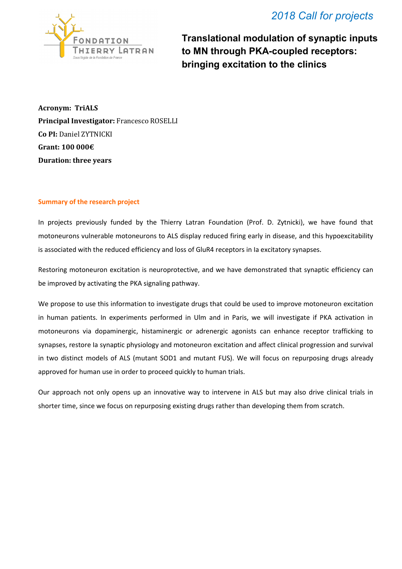## *2018 Call for projects*



**Translational modulation of synaptic inputs to MN through PKA-coupled receptors: bringing excitation to the clinics**

**Acronym: TriALS Principal Investigator:** Francesco ROSELLI **Co PI:** Daniel ZYTNICKI **Grant: 100 000€ Duration: three years**

## **Summary of the research project**

In projects previously funded by the Thierry Latran Foundation (Prof. D. Zytnicki), we have found that motoneurons vulnerable motoneurons to ALS display reduced firing early in disease, and this hypoexcitability is associated with the reduced efficiency and loss of GluR4 receptors in Ia excitatory synapses.

Restoring motoneuron excitation is neuroprotective, and we have demonstrated that synaptic efficiency can be improved by activating the PKA signaling pathway.

We propose to use this information to investigate drugs that could be used to improve motoneuron excitation in human patients. In experiments performed in Ulm and in Paris, we will investigate if PKA activation in motoneurons via dopaminergic, histaminergic or adrenergic agonists can enhance receptor trafficking to synapses, restore Ia synaptic physiology and motoneuron excitation and affect clinical progression and survival in two distinct models of ALS (mutant SOD1 and mutant FUS). We will focus on repurposing drugs already approved for human use in order to proceed quickly to human trials.

Our approach not only opens up an innovative way to intervene in ALS but may also drive clinical trials in shorter time, since we focus on repurposing existing drugs rather than developing them from scratch.